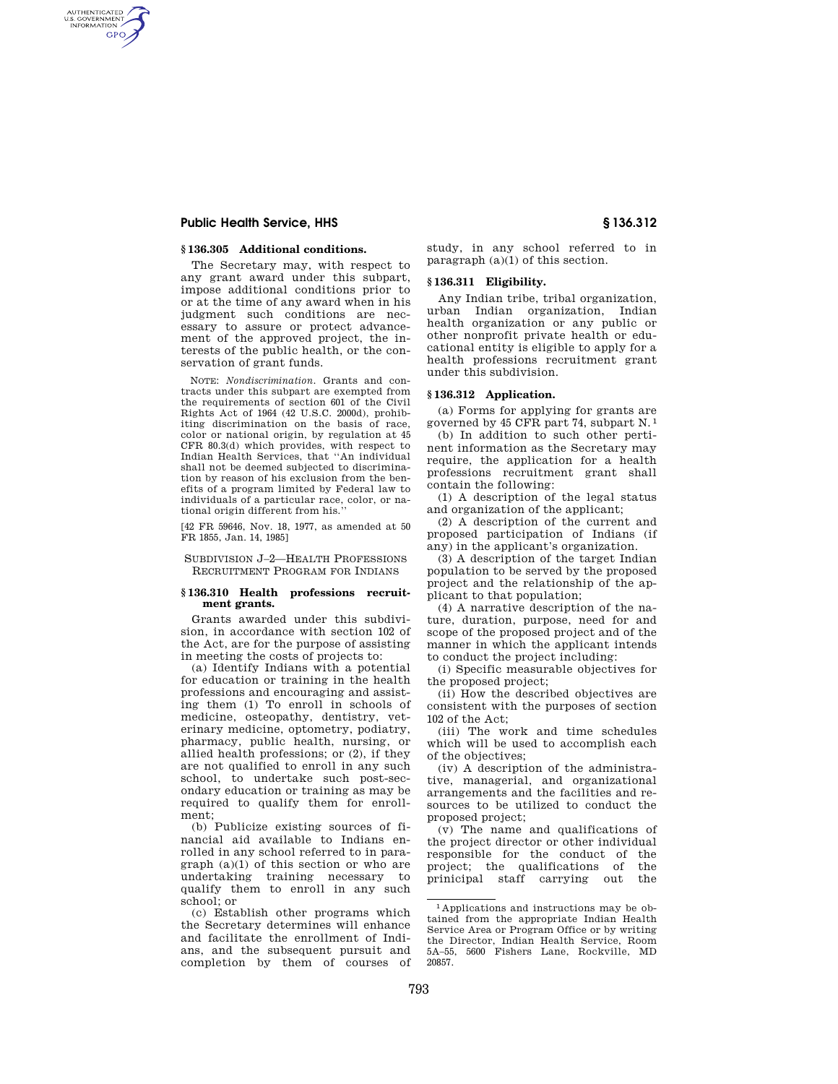# **Public Health Service, HHS § 136.312**

AUTHENTICATED<br>U.S. GOVERNMENT<br>INFORMATION **GPO** 

#### **§ 136.305 Additional conditions.**

The Secretary may, with respect to any grant award under this subpart, impose additional conditions prior to or at the time of any award when in his judgment such conditions are necessary to assure or protect advancement of the approved project, the interests of the public health, or the conservation of grant funds.

NOTE: *Nondiscrimination.* Grants and contracts under this subpart are exempted from the requirements of section 601 of the Civil Rights Act of 1964 (42 U.S.C. 2000d), prohibiting discrimination on the basis of race, color or national origin, by regulation at 45 CFR 80.3(d) which provides, with respect to Indian Health Services, that ''An individual shall not be deemed subjected to discrimination by reason of his exclusion from the benefits of a program limited by Federal law to individuals of a particular race, color, or national origin different from his.''

[42 FR 59646, Nov. 18, 1977, as amended at 50 FR 1855, Jan. 14, 1985]

SUBDIVISION J–2—HEALTH PROFESSIONS RECRUITMENT PROGRAM FOR INDIANS

#### **§ 136.310 Health professions recruitment grants.**

Grants awarded under this subdivision, in accordance with section 102 of the Act, are for the purpose of assisting in meeting the costs of projects to:

(a) Identify Indians with a potential for education or training in the health professions and encouraging and assisting them (1) To enroll in schools of medicine, osteopathy, dentistry, veterinary medicine, optometry, podiatry, pharmacy, public health, nursing, or allied health professions; or (2), if they are not qualified to enroll in any such school, to undertake such post-secondary education or training as may be required to qualify them for enrollment;

(b) Publicize existing sources of financial aid available to Indians enrolled in any school referred to in paragraph (a)(1) of this section or who are undertaking training necessary to qualify them to enroll in any such school; or

(c) Establish other programs which the Secretary determines will enhance and facilitate the enrollment of Indians, and the subsequent pursuit and completion by them of courses of study, in any school referred to in paragraph  $(a)(1)$  of this section.

### **§ 136.311 Eligibility.**

Any Indian tribe, tribal organization, urban Indian organization, Indian health organization or any public or other nonprofit private health or educational entity is eligible to apply for a health professions recruitment grant under this subdivision.

# **§ 136.312 Application.**

(a) Forms for applying for grants are governed by 45 CFR part 74, subpart N. 1

(b) In addition to such other pertinent information as the Secretary may require, the application for a health professions recruitment grant shall contain the following:

(1) A description of the legal status and organization of the applicant;

(2) A description of the current and proposed participation of Indians (if any) in the applicant's organization.

(3) A description of the target Indian population to be served by the proposed project and the relationship of the applicant to that population;

(4) A narrative description of the nature, duration, purpose, need for and scope of the proposed project and of the manner in which the applicant intends to conduct the project including:

(i) Specific measurable objectives for the proposed project;

(ii) How the described objectives are consistent with the purposes of section 102 of the Act;

(iii) The work and time schedules which will be used to accomplish each of the objectives;

(iv) A description of the administrative, managerial, and organizational arrangements and the facilities and resources to be utilized to conduct the proposed project;

(v) The name and qualifications of the project director or other individual responsible for the conduct of the project; the qualifications of the prinicipal staff carrying out the

<sup>1</sup> Applications and instructions may be obtained from the appropriate Indian Health Service Area or Program Office or by writing the Director, Indian Health Service, Room 5A–55, 5600 Fishers Lane, Rockville, MD 20857.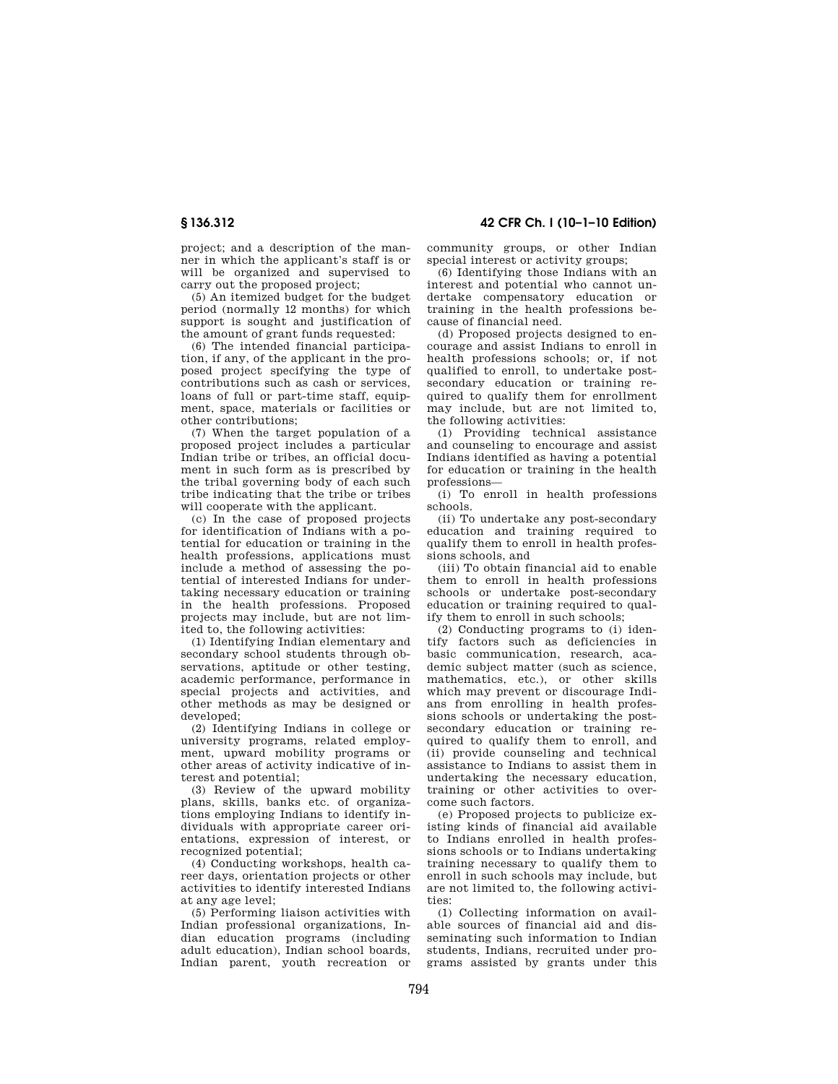project; and a description of the manner in which the applicant's staff is or will be organized and supervised to carry out the proposed project;

(5) An itemized budget for the budget period (normally 12 months) for which support is sought and justification of the amount of grant funds requested:

(6) The intended financial participation, if any, of the applicant in the proposed project specifying the type of contributions such as cash or services, loans of full or part-time staff, equipment, space, materials or facilities or other contributions;

(7) When the target population of a proposed project includes a particular Indian tribe or tribes, an official document in such form as is prescribed by the tribal governing body of each such tribe indicating that the tribe or tribes will cooperate with the applicant.

(c) In the case of proposed projects for identification of Indians with a potential for education or training in the health professions, applications must include a method of assessing the potential of interested Indians for undertaking necessary education or training in the health professions. Proposed projects may include, but are not limited to, the following activities:

(1) Identifying Indian elementary and secondary school students through observations, aptitude or other testing, academic performance, performance in special projects and activities, and other methods as may be designed or developed;

(2) Identifying Indians in college or university programs, related employment, upward mobility programs or other areas of activity indicative of interest and potential;

(3) Review of the upward mobility plans, skills, banks etc. of organizations employing Indians to identify individuals with appropriate career orientations, expression of interest, or recognized potential;

(4) Conducting workshops, health career days, orientation projects or other activities to identify interested Indians at any age level;

(5) Performing liaison activities with Indian professional organizations, Indian education programs (including adult education), Indian school boards, Indian parent, youth recreation or

**§ 136.312 42 CFR Ch. I (10–1–10 Edition)** 

community groups, or other Indian special interest or activity groups;

(6) Identifying those Indians with an interest and potential who cannot undertake compensatory education or training in the health professions because of financial need.

(d) Proposed projects designed to encourage and assist Indians to enroll in health professions schools; or, if not qualified to enroll, to undertake postsecondary education or training required to qualify them for enrollment may include, but are not limited to, the following activities:

(1) Providing technical assistance and counseling to encourage and assist Indians identified as having a potential for education or training in the health professions—

(i) To enroll in health professions schools.

(ii) To undertake any post-secondary education and training required to qualify them to enroll in health professions schools, and

(iii) To obtain financial aid to enable them to enroll in health professions schools or undertake post-secondary education or training required to qualify them to enroll in such schools;

(2) Conducting programs to (i) identify factors such as deficiencies in basic communication, research, academic subject matter (such as science, mathematics, etc.), or other skills which may prevent or discourage Indians from enrolling in health professions schools or undertaking the postsecondary education or training required to qualify them to enroll, and (ii) provide counseling and technical assistance to Indians to assist them in undertaking the necessary education, training or other activities to overcome such factors.

(e) Proposed projects to publicize existing kinds of financial aid available to Indians enrolled in health professions schools or to Indians undertaking training necessary to qualify them to enroll in such schools may include, but are not limited to, the following activities:

(1) Collecting information on available sources of financial aid and disseminating such information to Indian students, Indians, recruited under programs assisted by grants under this